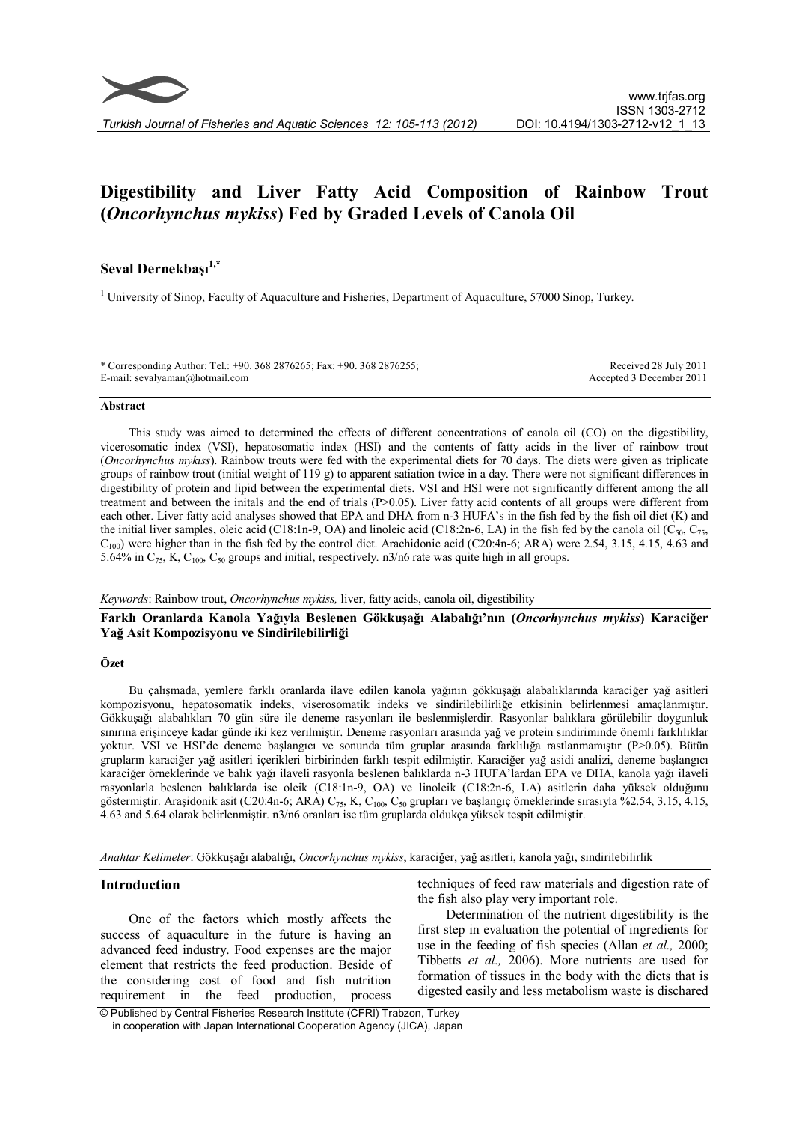

# **Digestibility and Liver Fatty Acid Composition of Rainbow Trout (***Oncorhynchus mykiss***) Fed by Graded Levels of Canola Oil**

# **Seval Dernekbaşı1,\***

<sup>1</sup> University of Sinop, Faculty of Aquaculture and Fisheries, Department of Aquaculture, 57000 Sinop, Turkey.

\* Corresponding Author: Tel.: +90. 368 2876265; Fax: +90. 368 2876255; E-mail: sevalyaman@hotmail.com Received 28 July 2011 Accepted 3 December 2011

#### **Abstract**

This study was aimed to determined the effects of different concentrations of canola oil (CO) on the digestibility, vicerosomatic index (VSI), hepatosomatic index (HSI) and the contents of fatty acids in the liver of rainbow trout (*Oncorhynchus mykiss*). Rainbow trouts were fed with the experimental diets for 70 days. The diets were given as triplicate groups of rainbow trout (initial weight of 119 g) to apparent satiation twice in a day. There were not significant differences in digestibility of protein and lipid between the experimental diets. VSI and HSI were not significantly different among the all treatment and between the initals and the end of trials (P>0.05). Liver fatty acid contents of all groups were different from each other. Liver fatty acid analyses showed that EPA and DHA from n-3 HUFA's in the fish fed by the fish oil diet (K) and the initial liver samples, oleic acid (C18:1n-9, OA) and linoleic acid (C18:2n-6, LA) in the fish fed by the canola oil (C<sub>50</sub>, C<sub>75</sub>,  $C<sub>100</sub>$ ) were higher than in the fish fed by the control diet. Arachidonic acid (C20:4n-6; ARA) were 2.54, 3.15, 4.15, 4.63 and 5.64% in  $C_{75}$ , K,  $C_{100}$ ,  $C_{50}$  groups and initial, respectively. n3/n6 rate was quite high in all groups.

#### *Keywords*: Rainbow trout, *Oncorhynchus mykiss,* liver, fatty acids, canola oil, digestibility

# **Farklı Oranlarda Kanola Yağıyla Beslenen Gökkuşağı Alabalığı'nın (***Oncorhynchus mykiss***) Karaciğer Yağ Asit Kompozisyonu ve Sindirilebilirliği**

## **Özet**

Bu çalışmada, yemlere farklı oranlarda ilave edilen kanola yağının gökkuşağı alabalıklarında karaciğer yağ asitleri kompozisyonu, hepatosomatik indeks, viserosomatik indeks ve sindirilebilirliğe etkisinin belirlenmesi amaçlanmıştır. Gökkuşağı alabalıkları 70 gün süre ile deneme rasyonları ile beslenmişlerdir. Rasyonlar balıklara görülebilir doygunluk sınırına erişinceye kadar günde iki kez verilmiştir. Deneme rasyonları arasında yağ ve protein sindiriminde önemli farklılıklar yoktur. VSI ve HSI'de deneme başlangıcı ve sonunda tüm gruplar arasında farklılığa rastlanmamıştır (P>0.05). Bütün grupların karaciğer yağ asitleri içerikleri birbirinden farklı tespit edilmiştir. Karaciğer yağ asidi analizi, deneme başlangıcı karaciğer örneklerinde ve balık yağı ilaveli rasyonla beslenen balıklarda n-3 HUFA'lardan EPA ve DHA, kanola yağı ilaveli rasyonlarla beslenen balıklarda ise oleik (C18:1n-9, OA) ve linoleik (C18:2n-6, LA) asitlerin daha yüksek olduğunu göstermiştir. Araşidonik asit (C20:4n-6; ARA) C<sub>75</sub>, K, C<sub>100</sub>, C<sub>50</sub> grupları ve başlangıç örneklerinde sırasıyla %2.54, 3.15, 4.15, 4.63 and 5.64 olarak belirlenmiştir. n3/n6 oranları ise tüm gruplarda oldukça yüksek tespit edilmiştir.

*Anahtar Kelimeler*: Gökkuşağı alabalığı, *Oncorhynchus mykiss*, karaciğer, yağ asitleri, kanola yağı, sindirilebilirlik

# **Introduction**

One of the factors which mostly affects the success of aquaculture in the future is having an advanced feed industry. Food expenses are the major element that restricts the feed production. Beside of the considering cost of food and fish nutrition requirement in the feed production, process

techniques of feed raw materials and digestion rate of the fish also play very important role.

Determination of the nutrient digestibility is the first step in evaluation the potential of ingredients for use in the feeding of fish species (Allan *et al.,* 2000; Tibbetts *et al.,* 2006). More nutrients are used for formation of tissues in the body with the diets that is digested easily and less metabolism waste is dischared

© Published by Central Fisheries Research Institute (CFRI) Trabzon, Turkey in cooperation with Japan International Cooperation Agency (JICA), Japan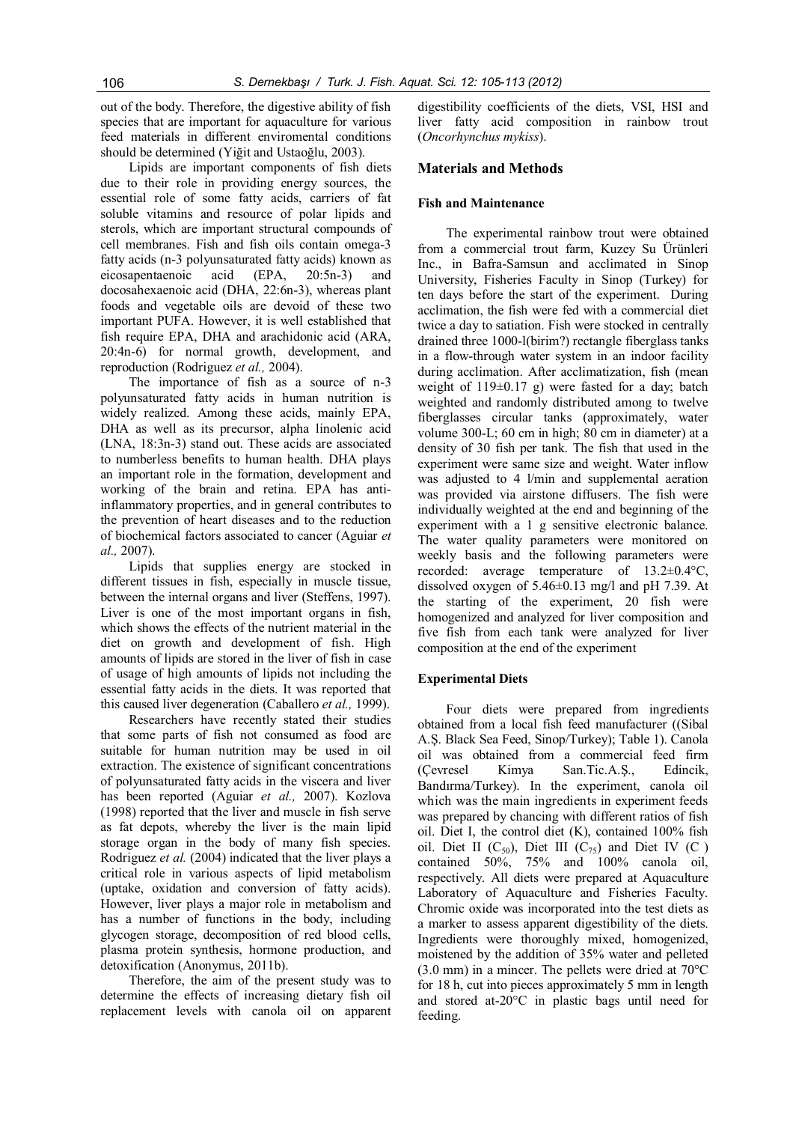out of the body. Therefore, the digestive ability of fish species that are important for aquaculture for various feed materials in different enviromental conditions should be determined (Yiğit and Ustaoğlu, 2003).

Lipids are important components of fish diets due to their role in providing energy sources, the essential role of some fatty acids, carriers of fat soluble vitamins and resource of polar lipids and sterols, which are important structural compounds of cell membranes. Fish and fish oils contain omega-3 fatty acids (n-3 polyunsaturated fatty acids) known as eicosapentaenoic acid (EPA, 20:5n-3) and docosahexaenoic acid (DHA, 22:6n-3), whereas plant foods and vegetable oils are devoid of these two important PUFA. However, it is well established that fish require EPA, DHA and arachidonic acid (ARA, 20:4n-6) for normal growth, development, and reproduction (Rodriguez *et al.,* 2004).

The importance of fish as a source of n-3 polyunsaturated fatty acids in human nutrition is widely realized. Among these acids, mainly EPA, DHA as well as its precursor, alpha linolenic acid (LNA, 18:3n-3) stand out. These acids are associated to numberless benefits to human health. DHA plays an important role in the formation, development and working of the brain and retina. EPA has antiinflammatory properties, and in general contributes to the prevention of heart diseases and to the reduction of biochemical factors associated to cancer (Aguiar *et al.,* 2007).

Lipids that supplies energy are stocked in different tissues in fish, especially in muscle tissue, between the internal organs and liver (Steffens, 1997). Liver is one of the most important organs in fish, which shows the effects of the nutrient material in the diet on growth and development of fish. High amounts of lipids are stored in the liver of fish in case of usage of high amounts of lipids not including the essential fatty acids in the diets. It was reported that this caused liver degeneration (Caballero *et al.,* 1999).

Researchers have recently stated their studies that some parts of fish not consumed as food are suitable for human nutrition may be used in oil extraction. The existence of significant concentrations of polyunsaturated fatty acids in the viscera and liver has been reported (Aguiar *et al.,* 2007). Kozlova (1998) reported that the liver and muscle in fish serve as fat depots, whereby the liver is the main lipid storage organ in the body of many fish species. Rodriguez *et al.* (2004) indicated that the liver plays a critical role in various aspects of lipid metabolism (uptake, oxidation and conversion of fatty acids). However, liver plays a major role in metabolism and has a number of functions in the body, including glycogen storage, decomposition of red blood cells, plasma protein synthesis, hormone production, and detoxification (Anonymus, 2011b).

Therefore, the aim of the present study was to determine the effects of increasing dietary fish oil replacement levels with canola oil on apparent

digestibility coefficients of the diets, VSI, HSI and liver fatty acid composition in rainbow trout (*Oncorhynchus mykiss*).

# **Materials and Methods**

#### **Fish and Maintenance**

The experimental rainbow trout were obtained from a commercial trout farm, Kuzey Su Ürünleri Inc., in Bafra-Samsun and acclimated in Sinop University, Fisheries Faculty in Sinop (Turkey) for ten days before the start of the experiment. During acclimation, the fish were fed with a commercial diet twice a day to satiation. Fish were stocked in centrally drained three 1000-l(birim?) rectangle fiberglass tanks in a flow-through water system in an indoor facility during acclimation. After acclimatization, fish (mean weight of  $119\pm0.17$  g) were fasted for a day; batch weighted and randomly distributed among to twelve fiberglasses circular tanks (approximately, water volume 300-L; 60 cm in high; 80 cm in diameter) at a density of 30 fish per tank. The fish that used in the experiment were same size and weight. Water inflow was adjusted to 4 l/min and supplemental aeration was provided via airstone diffusers. The fish were individually weighted at the end and beginning of the experiment with a 1 g sensitive electronic balance. The water quality parameters were monitored on weekly basis and the following parameters were recorded: average temperature of 13.2±0.4°C, dissolved oxygen of 5.46±0.13 mg/l and pH 7.39. At the starting of the experiment, 20 fish were homogenized and analyzed for liver composition and five fish from each tank were analyzed for liver composition at the end of the experiment

## **Experimental Diets**

Four diets were prepared from ingredients obtained from a local fish feed manufacturer ((Sibal A.Ş. Black Sea Feed, Sinop/Turkey); Table 1). Canola oil was obtained from a commercial feed firm (Çevresel Kimya San.Tic.A.Ş., Edincik, Bandırma/Turkey). In the experiment, canola oil which was the main ingredients in experiment feeds was prepared by chancing with different ratios of fish oil. Diet I, the control diet (K), contained 100% fish oil. Diet II  $(C_{50})$ , Diet III  $(C_{75})$  and Diet IV  $(C)$ contained 50%, 75% and 100% canola oil, respectively. All diets were prepared at Aquaculture Laboratory of Aquaculture and Fisheries Faculty. Chromic oxide was incorporated into the test diets as a marker to assess apparent digestibility of the diets. Ingredients were thoroughly mixed, homogenized, moistened by the addition of 35% water and pelleted (3.0 mm) in a mincer. The pellets were dried at 70°C for 18 h, cut into pieces approximately 5 mm in length and stored at-20°C in plastic bags until need for feeding.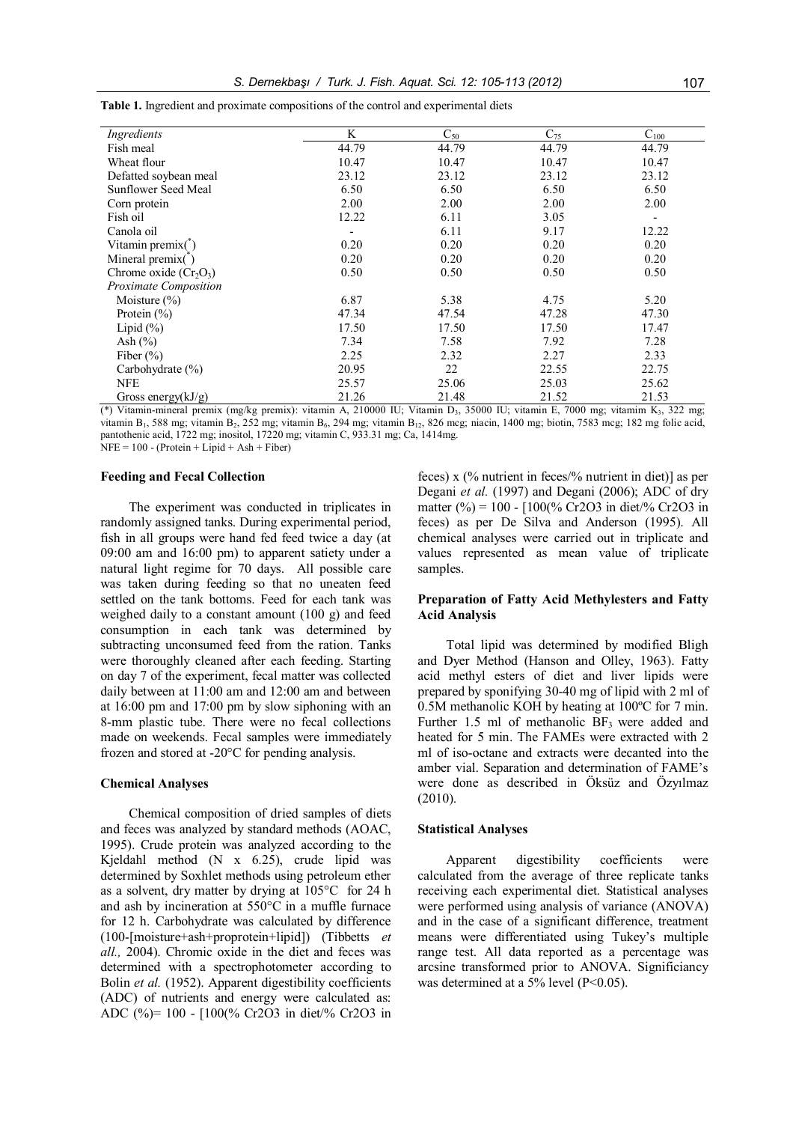| Ingredients                   | K     | $C_{50}$ | $C_{75}$ | $C_{100}$                |
|-------------------------------|-------|----------|----------|--------------------------|
| Fish meal                     | 44.79 | 44.79    | 44.79    | 44.79                    |
| Wheat flour                   | 10.47 | 10.47    | 10.47    | 10.47                    |
| Defatted soybean meal         | 23.12 | 23.12    | 23.12    | 23.12                    |
| Sunflower Seed Meal           | 6.50  | 6.50     | 6.50     | 6.50                     |
| Corn protein                  | 2.00  | 2.00     | 2.00     | 2.00                     |
| Fish oil                      | 12.22 | 6.11     | 3.05     | $\overline{\phantom{a}}$ |
| Canola oil                    |       | 6.11     | 9.17     | 12.22                    |
| Vitamin premix $(\tilde{\ })$ | 0.20  | 0.20     | 0.20     | 0.20                     |
| Mineral premix(*)             | 0.20  | 0.20     | 0.20     | 0.20                     |
| Chrome oxide $(Cr_2O_3)$      | 0.50  | 0.50     | 0.50     | 0.50                     |
| Proximate Composition         |       |          |          |                          |
| Moisture $(\% )$              | 6.87  | 5.38     | 4.75     | 5.20                     |
| Protein $(\% )$               | 47.34 | 47.54    | 47.28    | 47.30                    |
| Lipid $(\%)$                  | 17.50 | 17.50    | 17.50    | 17.47                    |
| Ash $(\% )$                   | 7.34  | 7.58     | 7.92     | 7.28                     |
| Fiber $(\% )$                 | 2.25  | 2.32     | 2.27     | 2.33                     |
| Carbohydrate $(\% )$          | 20.95 | 22       | 22.55    | 22.75                    |
| <b>NFE</b>                    | 25.57 | 25.06    | 25.03    | 25.62                    |
| Gross energy $(kJ/g)$         | 21.26 | 21.48    | 21.52    | 21.53                    |

**Table 1.** Ingredient and proximate compositions of the control and experimental diets

(\*) Vitamin-mineral premix (mg/kg premix): vitamin A, 210000 IU; Vitamin D<sub>3</sub>, 35000 IU; vitamin E, 7000 mg; vitamim K<sub>3</sub>, 322 mg; vitamin B<sub>1</sub>, 588 mg; vitamin B<sub>2</sub>, 252 mg; vitamin B<sub>6</sub>, 294 mg; vitamin B<sub>12</sub>, 826 mcg; niacin, 1400 mg; biotin, 7583 mcg; 182 mg folic acid, pantothenic acid, 1722 mg; inositol, 17220 mg; vitamin C, 933.31 mg; Ca, 1414mg.  $NFE = 100 - (Protein + Lipid + Ash + Fiber)$ 

#### **Feeding and Fecal Collection**

The experiment was conducted in triplicates in randomly assigned tanks. During experimental period, fish in all groups were hand fed feed twice a day (at 09:00 am and 16:00 pm) to apparent satiety under a natural light regime for 70 days. All possible care was taken during feeding so that no uneaten feed settled on the tank bottoms. Feed for each tank was weighed daily to a constant amount (100 g) and feed consumption in each tank was determined by subtracting unconsumed feed from the ration. Tanks were thoroughly cleaned after each feeding. Starting on day 7 of the experiment, fecal matter was collected daily between at 11:00 am and 12:00 am and between at 16:00 pm and 17:00 pm by slow siphoning with an 8-mm plastic tube. There were no fecal collections made on weekends. Fecal samples were immediately frozen and stored at -20°C for pending analysis.

#### **Chemical Analyses**

Chemical composition of dried samples of diets and feces was analyzed by standard methods (AOAC, 1995). Crude protein was analyzed according to the Kjeldahl method (N x 6.25), crude lipid was determined by Soxhlet methods using petroleum ether as a solvent, dry matter by drying at 105°C for 24 h and ash by incineration at 550°C in a muffle furnace for 12 h. Carbohydrate was calculated by difference (100-[moisture+ash+proprotein+lipid]) (Tibbetts *et all.,* 2004). Chromic oxide in the diet and feces was determined with a spectrophotometer according to Bolin *et al.* (1952). Apparent digestibility coefficients (ADC) of nutrients and energy were calculated as: ADC (%)= 100 - [100(% Cr2O3 in diet/% Cr2O3 in feces) x (% nutrient in feces/% nutrient in diet)] as per Degani *et al.* (1997) and Degani (2006); ADC of dry matter (%) = 100 -  $[100\% \text{ Cr2O3} \text{ in diet/} \% \text{ Cr2O3} \text{ in}$ feces) as per De Silva and Anderson (1995). All chemical analyses were carried out in triplicate and values represented as mean value of triplicate samples.

## **Preparation of Fatty Acid Methylesters and Fatty Acid Analysis**

Total lipid was determined by modified Bligh and Dyer Method (Hanson and Olley, 1963). Fatty acid methyl esters of diet and liver lipids were prepared by sponifying 30-40 mg of lipid with 2 ml of 0.5M methanolic KOH by heating at 100ºC for 7 min. Further 1.5 ml of methanolic  $BF_3$  were added and heated for 5 min. The FAMEs were extracted with 2 ml of iso-octane and extracts were decanted into the amber vial. Separation and determination of FAME's were done as described in Öksüz and Özyılmaz (2010).

#### **Statistical Analyses**

Apparent digestibility coefficients were calculated from the average of three replicate tanks receiving each experimental diet. Statistical analyses were performed using analysis of variance (ANOVA) and in the case of a significant difference, treatment means were differentiated using Tukey's multiple range test. All data reported as a percentage was arcsine transformed prior to ANOVA. Significiancy was determined at a 5% level (P<0.05).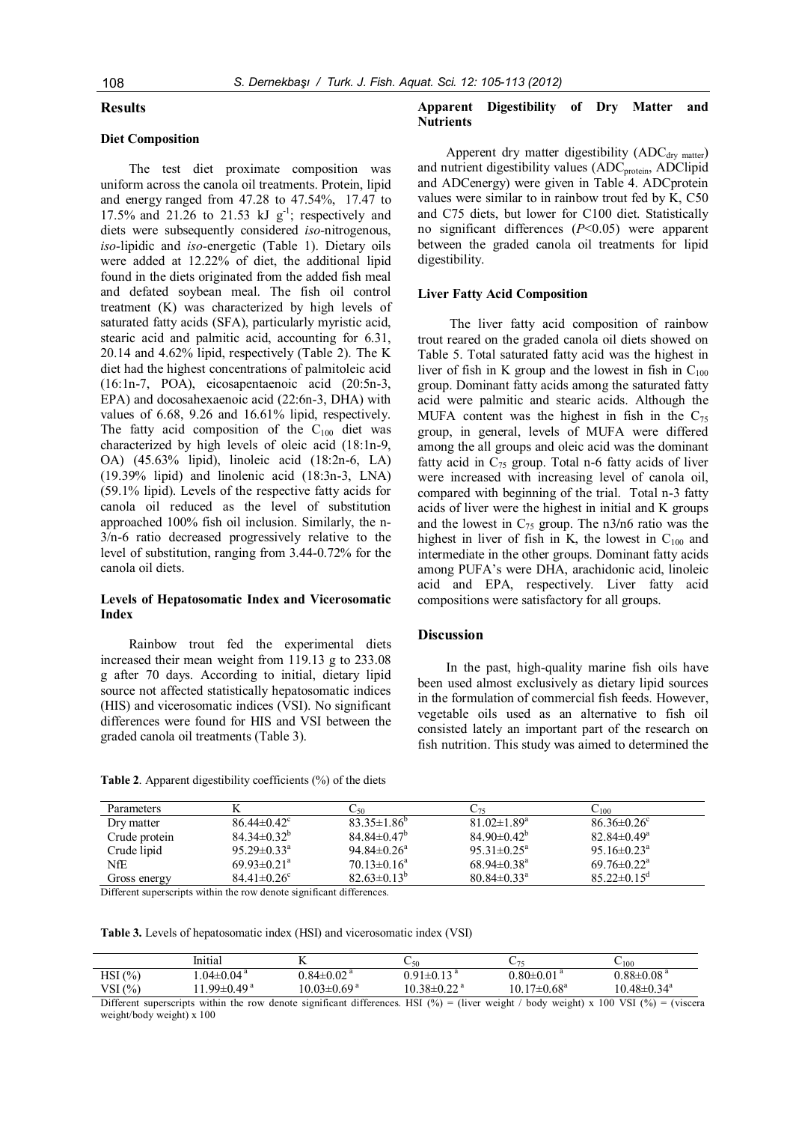## **Results**

# **Diet Composition**

The test diet proximate composition was uniform across the canola oil treatments. Protein, lipid and energy ranged from 47.28 to 47.54%, 17.47 to 17.5% and 21.26 to 21.53 kJ  $g^{-1}$ ; respectively and diets were subsequently considered *iso-*nitrogenous, *iso-*lipidic and *iso-*energetic (Table 1). Dietary oils were added at 12.22% of diet, the additional lipid found in the diets originated from the added fish meal and defated soybean meal. The fish oil control treatment (K) was characterized by high levels of saturated fatty acids (SFA), particularly myristic acid, stearic acid and palmitic acid, accounting for 6.31, 20.14 and 4.62% lipid, respectively (Table 2). The K diet had the highest concentrations of palmitoleic acid (16:1n-7, POA), eicosapentaenoic acid (20:5n-3, EPA) and docosahexaenoic acid (22:6n-3, DHA) with values of 6.68, 9.26 and 16.61% lipid, respectively. The fatty acid composition of the  $C_{100}$  diet was characterized by high levels of oleic acid (18:1n-9, OA) (45.63% lipid), linoleic acid (18:2n-6, LA) (19.39% lipid) and linolenic acid (18:3n-3, LNA) (59.1% lipid). Levels of the respective fatty acids for canola oil reduced as the level of substitution approached 100% fish oil inclusion. Similarly, the n-3/n-6 ratio decreased progressively relative to the level of substitution, ranging from 3.44-0.72% for the canola oil diets.

## **Levels of Hepatosomatic Index and Vicerosomatic Index**

Rainbow trout fed the experimental diets increased their mean weight from 119.13 g to 233.08 g after 70 days. According to initial, dietary lipid source not affected statistically hepatosomatic indices (HIS) and vicerosomatic indices (VSI). No significant differences were found for HIS and VSI between the graded canola oil treatments (Table 3).

## **Apparent Digestibility of Dry Matter and Nutrients**

Apperent dry matter digestibility  $(ADC<sub>drv</sub>_{matter})$ and nutrient digestibility values (ADC<sub>protein</sub>, ADClipid and ADCenergy) were given in Table 4. ADCprotein values were similar to in rainbow trout fed by K, C50 and C75 diets, but lower for C100 diet. Statistically no significant differences (*P*<0.05) were apparent between the graded canola oil treatments for lipid digestibility.

#### **Liver Fatty Acid Composition**

The liver fatty acid composition of rainbow trout reared on the graded canola oil diets showed on Table 5. Total saturated fatty acid was the highest in liver of fish in K group and the lowest in fish in  $C_{100}$ group. Dominant fatty acids among the saturated fatty acid were palmitic and stearic acids. Although the MUFA content was the highest in fish in the  $C_{75}$ group, in general, levels of MUFA were differed among the all groups and oleic acid was the dominant fatty acid in  $C_{75}$  group. Total n-6 fatty acids of liver were increased with increasing level of canola oil, compared with beginning of the trial. Total n-3 fatty acids of liver were the highest in initial and K groups and the lowest in  $C_{75}$  group. The n3/n6 ratio was the highest in liver of fish in K, the lowest in  $C_{100}$  and intermediate in the other groups. Dominant fatty acids among PUFA's were DHA, arachidonic acid, linoleic acid and EPA, respectively. Liver fatty acid compositions were satisfactory for all groups.

## **Discussion**

In the past, high-quality marine fish oils have been used almost exclusively as dietary lipid sources in the formulation of commercial fish feeds. However, vegetable oils used as an alternative to fish oil consisted lately an important part of the research on fish nutrition. This study was aimed to determined the

| <b>Parameters</b> |                               | $\mathsf{C}_{50}$             | 75 ک                          | 62100                         |
|-------------------|-------------------------------|-------------------------------|-------------------------------|-------------------------------|
| Dry matter        | $86.44 \pm 0.42$ °            | $83.35 \pm 1.86^b$            | $81.02 \pm 1.89^a$            | $86.36 \pm 0.26$ <sup>c</sup> |
| Crude protein     | $84.34\pm0.32^b$              | $84.84 \pm 0.47^b$            | $84.90 \pm 0.42^b$            | $82.84 \pm 0.49$ <sup>a</sup> |
| Crude lipid       | $95.29 \pm 0.33^{\circ}$      | $94.84 \pm 0.26$ <sup>a</sup> | $95.31 \pm 0.25^{\circ}$      | 95.16 $\pm$ 0.23 <sup>a</sup> |
| NfE               | $69.93 \pm 0.21$ <sup>a</sup> | $70.13 \pm 0.16^a$            | $68.94\pm0.38^{\text{a}}$     | $69.76 \pm 0.22$ <sup>a</sup> |
| Gross energy      | $84.41 \pm 0.26$ °            | $82.63\pm0.13^{b}$            | $80.84 \pm 0.33$ <sup>a</sup> | $85.22 \pm 0.15^{\circ}$      |

**Table 2**. Apparent digestibility coefficients (%) of the diets

Different superscripts within the row denote significant differences.

**Table 3.** Levels of hepatosomatic index (HSI) and vicerosomatic index (VSI)

|        | Initial                     |                               | 50 ب                          |                               | $-100$                        |
|--------|-----------------------------|-------------------------------|-------------------------------|-------------------------------|-------------------------------|
| HSI(%) | $.04 \pm 0.04$ <sup>a</sup> | $0.84 \pm 0.02$ <sup>a</sup>  | $0.91 \pm 0.13$ <sup>a</sup>  | $0.80 \pm 0.01$ $^{\rm a}$    | $0.88 \pm 0.08$ <sup>a</sup>  |
| VSI(%) | .99 $\pm$ 0.49 <sup>a</sup> | $10.03 \pm 0.69$ <sup>a</sup> | $10.38 \pm 0.22$ <sup>a</sup> | $10.17 \pm 0.68$ <sup>a</sup> | $10.48 \pm 0.34$ <sup>a</sup> |

Different superscripts within the row denote significant differences. HSI (%) = (liver weight / body weight) x 100 VSI (%) = (viscera weight/body weight) x 100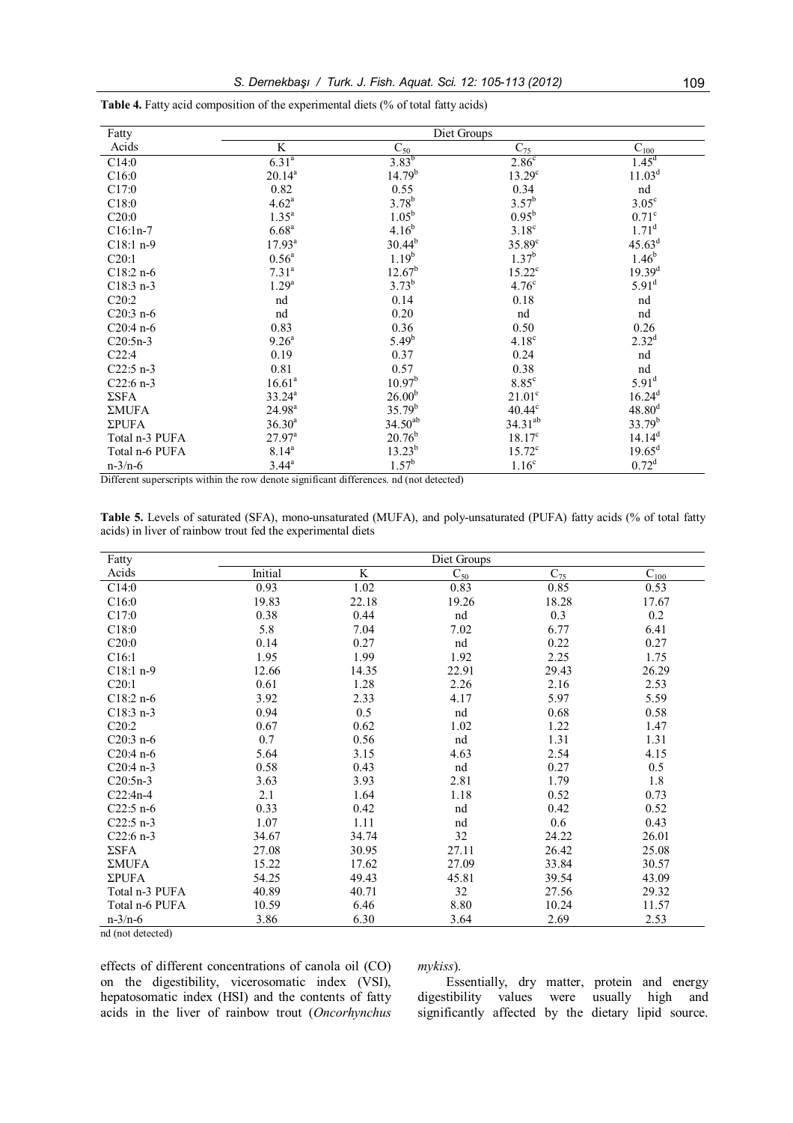| Fatty          | Diet Groups        |                    |                    |                    |  |
|----------------|--------------------|--------------------|--------------------|--------------------|--|
| Acids          | K                  | $C_{50}$           | $C_{75}$           | $C_{100}$          |  |
| C14:0          | $6.31^{a}$         | $3.83^{b}$         | 2.86 <sup>c</sup>  | $1.45^d$           |  |
| C16:0          | $20.14^{a}$        | 14.79 <sup>b</sup> | 13.29 <sup>c</sup> | 11.03 <sup>d</sup> |  |
| C17:0          | 0.82               | 0.55               | 0.34               | nd                 |  |
| C18:0          | $4.62^a$           | $3.78^{b}$         | $3.57^b$           | $3.05^{\circ}$     |  |
| C20:0          | $1.35^{a}$         | $1.05^{b}$         | $0.95^{b}$         | $0.71^\circ$       |  |
| $C16:1n-7$     | 6.68 <sup>a</sup>  | $4.16^{b}$         | $3.18^c$           | $1.71^d$           |  |
| $C18:1 n-9$    | $17.93^{a}$        | $30.44^{b}$        | $35.89^{\circ}$    | $45.63^d$          |  |
| C20:1          | $0.56^{a}$         | $1.19^{b}$         | $1.37^{b}$         | $1.46^{b}$         |  |
| $C18:2 n-6$    | $7.31^{a}$         | $12.67^{\rm b}$    | $15.22^c$          | $19.39^{d}$        |  |
| $C18:3 n-3$    | $1.29^{a}$         | $3.73^{b}$         | $4.76^{\circ}$     | $5.91^{\rm d}$     |  |
| C20:2          | nd                 | 0.14               | 0.18               | nd                 |  |
| $C20:3n-6$     | nd                 | 0.20               | nd                 | nd                 |  |
| $C20:4n-6$     | 0.83               | 0.36               | 0.50               | 0.26               |  |
| $C20:5n-3$     | $9.26^{\circ}$     | $5.49^{b}$         | 4.18 <sup>c</sup>  | $2.32^{d}$         |  |
| C22:4          | 0.19               | 0.37               | 0.24               | nd                 |  |
| $C22:5 n-3$    | 0.81               | 0.57               | 0.38               | nd                 |  |
| $C22:6 n-3$    | 16.61 <sup>a</sup> | 10.97 <sup>b</sup> | $8.85^{\circ}$     | $5.91^{\rm d}$     |  |
| $\Sigma$ SFA   | $33.24^{a}$        | 26.00 <sup>b</sup> | $21.01^c$          | $16.24^{d}$        |  |
| ΣMUFA          | $24.98^{a}$        | $35.79^{b}$        | $40.44^{\circ}$    | $48.80^{d}$        |  |
| $\Sigma$ PUFA  | $36.30^{a}$        | $34.50^{ab}$       | $34.31^{ab}$       | $33.79^{b}$        |  |
| Total n-3 PUFA | $27.97^{\rm a}$    | $20.76^{\rm b}$    | $18.17^c$          | $14.14^d$          |  |
| Total n-6 PUFA | $8.14^{a}$         | $13.23^{b}$        | $15.72^{\circ}$    | $19.65^d$          |  |
| $n-3/n-6$      | $3.44^{\circ}$     | $1.57^b$           | 1.16 <sup>c</sup>  | $0.72^d$           |  |

**Table 4.** Fatty acid composition of the experimental diets (% of total fatty acids)

Different superscripts within the row denote significant differences. nd (not detected)

**Table 5.** Levels of saturated (SFA), mono-unsaturated (MUFA), and poly-unsaturated (PUFA) fatty acids (% of total fatty acids) in liver of rainbow trout fed the experimental diets

| Fatty          |         |                | Diet Groups |          |                      |
|----------------|---------|----------------|-------------|----------|----------------------|
| Acids          | Initial | $\overline{K}$ | $C_{50}$    | $C_{75}$ | $\overline{C}_{100}$ |
| C14:0          | 0.93    | 1.02           | 0.83        | 0.85     | 0.53                 |
| C16:0          | 19.83   | 22.18          | 19.26       | 18.28    | 17.67                |
| C17:0          | 0.38    | 0.44           | nd          | 0.3      | 0.2                  |
| C18:0          | 5.8     | 7.04           | 7.02        | 6.77     | 6.41                 |
| C20:0          | 0.14    | 0.27           | nd          | 0.22     | 0.27                 |
| C16:1          | 1.95    | 1.99           | 1.92        | 2.25     | 1.75                 |
| $C18:1 n-9$    | 12.66   | 14.35          | 22.91       | 29.43    | 26.29                |
| C20:1          | 0.61    | 1.28           | 2.26        | 2.16     | 2.53                 |
| $C18:2 n-6$    | 3.92    | 2.33           | 4.17        | 5.97     | 5.59                 |
| $C18:3 n-3$    | 0.94    | 0.5            | nd          | 0.68     | 0.58                 |
| C20:2          | 0.67    | 0.62           | 1.02        | 1.22     | 1.47                 |
| $C20:3n-6$     | 0.7     | 0.56           | nd          | 1.31     | 1.31                 |
| $C20:4n-6$     | 5.64    | 3.15           | 4.63        | 2.54     | 4.15                 |
| $C20:4 n-3$    | 0.58    | 0.43           | nd          | 0.27     | 0.5                  |
| $C20:5n-3$     | 3.63    | 3.93           | 2.81        | 1.79     | 1.8                  |
| $C22:4n-4$     | 2.1     | 1.64           | 1.18        | 0.52     | 0.73                 |
| $C22:5 n-6$    | 0.33    | 0.42           | nd          | 0.42     | 0.52                 |
| $C22:5$ n-3    | 1.07    | 1.11           | nd          | 0.6      | 0.43                 |
| $C22:6 n-3$    | 34.67   | 34.74          | 32          | 24.22    | 26.01                |
| $\Sigma$ SFA   | 27.08   | 30.95          | 27.11       | 26.42    | 25.08                |
| <b>ΣMUFA</b>   | 15.22   | 17.62          | 27.09       | 33.84    | 30.57                |
| $\Sigma$ PUFA  | 54.25   | 49.43          | 45.81       | 39.54    | 43.09                |
| Total n-3 PUFA | 40.89   | 40.71          | 32          | 27.56    | 29.32                |
| Total n-6 PUFA | 10.59   | 6.46           | 8.80        | 10.24    | 11.57                |
| $n-3/n-6$      | 3.86    | 6.30           | 3.64        | 2.69     | 2.53                 |

nd (not detected)

effects of different concentrations of canola oil (CO) on the digestibility, vicerosomatic index (VSI), hepatosomatic index (HSI) and the contents of fatty acids in the liver of rainbow trout (*Oncorhynchus* 

## *mykiss*).

Essentially, dry matter, protein and energy digestibility values were usually high and significantly affected by the dietary lipid source.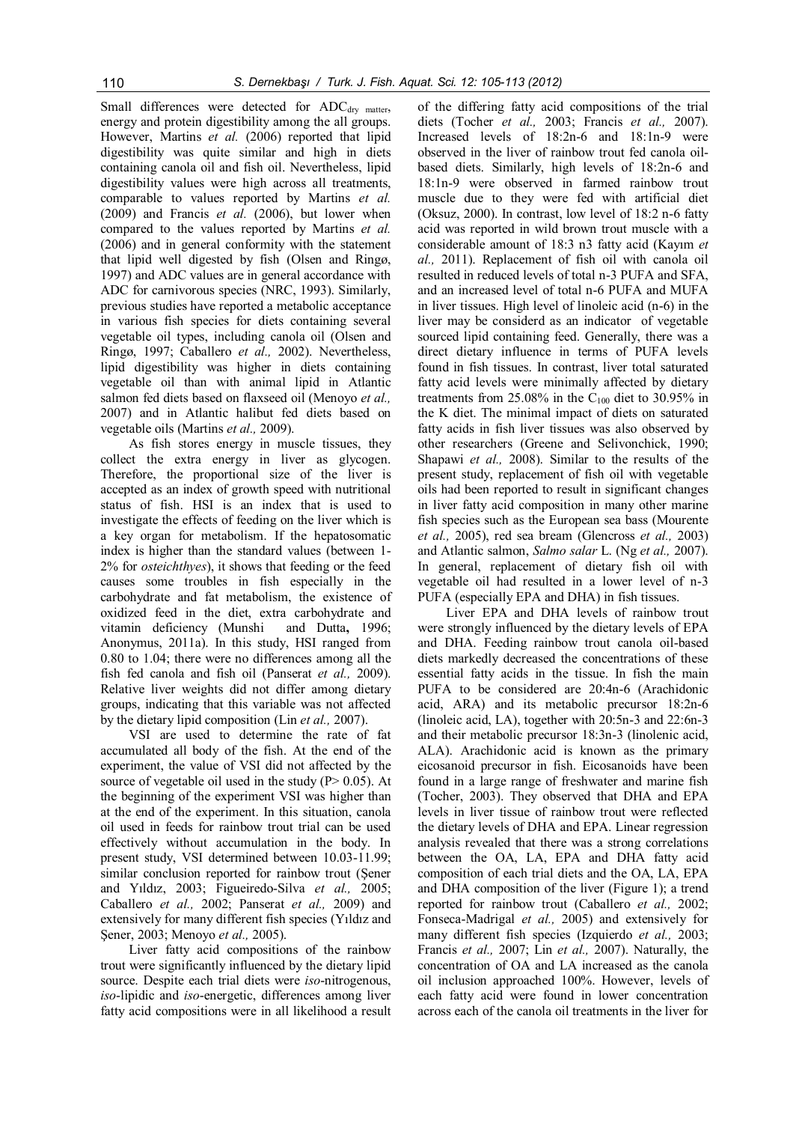Small differences were detected for  $ADC<sub>drv</sub>$  matter, energy and protein digestibility among the all groups. However, Martins et al. (2006) reported that lipid digestibility was quite similar and high in diets containing canola oil and fish oil. Nevertheless, lipid digestibility values were high across all treatments, comparable to values reported by Martins *et al.* (2009) and Francis *et al.* (2006), but lower when compared to the values reported by Martins *et al.* (2006) and in general conformity with the statement that lipid well digested by fish (Olsen and Ringø, 1997) and ADC values are in general accordance with ADC for carnivorous species (NRC, 1993). Similarly, previous studies have reported a metabolic acceptance in various fish species for diets containing several vegetable oil types, including canola oil (Olsen and Ringø, 1997; Caballero *et al.,* 2002). Nevertheless, lipid digestibility was higher in diets containing vegetable oil than with animal lipid in Atlantic salmon fed diets based on flaxseed oil (Menoyo *et al.,* 2007) and in Atlantic halibut fed diets based on vegetable oils (Martins *et al.,* 2009).

As fish stores energy in muscle tissues, they collect the extra energy in liver as glycogen. Therefore, the proportional size of the liver is accepted as an index of growth speed with nutritional status of fish. HSI is an index that is used to investigate the effects of feeding on the liver which is a key organ for metabolism. If the hepatosomatic index is higher than the standard values (between 1- 2% for *osteichthyes*), it shows that feeding or the feed causes some troubles in fish especially in the carbohydrate and fat metabolism, the existence of oxidized feed in the diet, extra carbohydrate and vitamin deficiency (Munshi and Dutta**,** 1996; Anonymus, 2011a). In this study, HSI ranged from 0.80 to 1.04; there were no differences among all the fish fed canola and fish oil (Panserat *et al.,* 2009). Relative liver weights did not differ among dietary groups, indicating that this variable was not affected by the dietary lipid composition (Lin *et al.,* 2007).

VSI are used to determine the rate of fat accumulated all body of the fish. At the end of the experiment, the value of VSI did not affected by the source of vegetable oil used in the study  $(P> 0.05)$ . At the beginning of the experiment VSI was higher than at the end of the experiment. In this situation, canola oil used in feeds for rainbow trout trial can be used effectively without accumulation in the body. In present study, VSI determined between 10.03-11.99; similar conclusion reported for rainbow trout (Şener and Yıldız, 2003; Figueiredo-Silva *et al.,* 2005; Caballero *et al.,* 2002; Panserat *et al.,* 2009) and extensively for many different fish species (Yıldız and Şener, 2003; Menoyo *et al.,* 2005).

Liver fatty acid compositions of the rainbow trout were significantly influenced by the dietary lipid source. Despite each trial diets were *iso*-nitrogenous, *iso*-lipidic and *iso*-energetic, differences among liver fatty acid compositions were in all likelihood a result

of the differing fatty acid compositions of the trial diets (Tocher *et al.,* 2003; Francis *et al.,* 2007). Increased levels of 18:2n-6 and 18:1n-9 were observed in the liver of rainbow trout fed canola oilbased diets. Similarly, high levels of 18:2n-6 and 18:1n-9 were observed in farmed rainbow trout muscle due to they were fed with artificial diet (Oksuz, 2000). In contrast, low level of 18:2 n-6 fatty acid was reported in wild brown trout muscle with a considerable amount of 18:3 n3 fatty acid (Kayım *et al.,* 2011). Replacement of fish oil with canola oil resulted in reduced levels of total n-3 PUFA and SFA, and an increased level of total n-6 PUFA and MUFA in liver tissues. High level of linoleic acid (n-6) in the liver may be considerd as an indicator of vegetable sourced lipid containing feed. Generally, there was a direct dietary influence in terms of PUFA levels found in fish tissues. In contrast, liver total saturated fatty acid levels were minimally affected by dietary treatments from 25.08% in the  $C_{100}$  diet to 30.95% in the K diet. The minimal impact of diets on saturated fatty acids in fish liver tissues was also observed by other researchers (Greene and Selivonchick, 1990; Shapawi *et al.,* 2008). Similar to the results of the present study, replacement of fish oil with vegetable oils had been reported to result in significant changes in liver fatty acid composition in many other marine fish species such as the European sea bass (Mourente *et al.,* 2005), red sea bream (Glencross *et al.,* 2003) and Atlantic salmon, *Salmo salar* L. (Ng *et al.,* 2007). In general, replacement of dietary fish oil with vegetable oil had resulted in a lower level of n-3 PUFA (especially EPA and DHA) in fish tissues.

Liver EPA and DHA levels of rainbow trout were strongly influenced by the dietary levels of EPA and DHA. Feeding rainbow trout canola oil-based diets markedly decreased the concentrations of these essential fatty acids in the tissue. In fish the main PUFA to be considered are 20:4n-6 (Arachidonic acid, ARA) and its metabolic precursor 18:2n-6 (linoleic acid, LA), together with 20:5n-3 and 22:6n-3 and their metabolic precursor 18:3n-3 (linolenic acid, ALA). Arachidonic acid is known as the primary eicosanoid precursor in fish. Eicosanoids have been found in a large range of freshwater and marine fish (Tocher, 2003). They observed that DHA and EPA levels in liver tissue of rainbow trout were reflected the dietary levels of DHA and EPA. Linear regression analysis revealed that there was a strong correlations between the OA, LA, EPA and DHA fatty acid composition of each trial diets and the OA, LA, EPA and DHA composition of the liver (Figure 1); a trend reported for rainbow trout (Caballero *et al.,* 2002; Fonseca-Madrigal *et al.,* 2005) and extensively for many different fish species (Izquierdo *et al.,* 2003; Francis *et al.,* 2007; Lin *et al.,* 2007). Naturally, the concentration of OA and LA increased as the canola oil inclusion approached 100%. However, levels of each fatty acid were found in lower concentration across each of the canola oil treatments in the liver for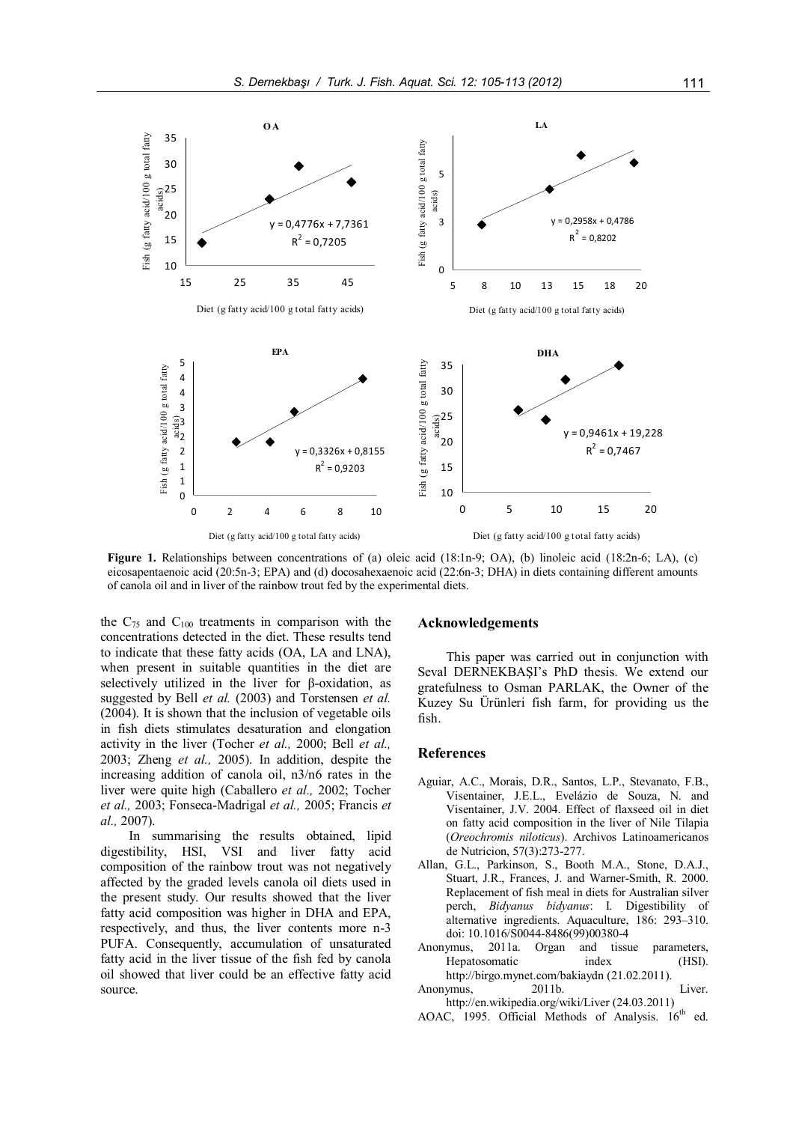

**Figure 1.** Relationships between concentrations of (a) oleic acid (18:1n-9; OA), (b) linoleic acid (18:2n-6; LA), (c) eicosapentaenoic acid (20:5n-3; EPA) and (d) docosahexaenoic acid (22:6n-3; DHA) in diets containing different amounts of canola oil and in liver of the rainbow trout fed by the experimental diets.

the  $C_{75}$  and  $C_{100}$  treatments in comparison with the concentrations detected in the diet. These results tend to indicate that these fatty acids (OA, LA and LNA), when present in suitable quantities in the diet are selectively utilized in the liver for β-oxidation, as suggested by Bell *et al.* (2003) and Torstensen *et al.* (2004). It is shown that the inclusion of vegetable oils in fish diets stimulates desaturation and elongation activity in the liver (Tocher *et al.,* 2000; Bell *et al.,* 2003; Zheng *et al.,* 2005). In addition, despite the increasing addition of canola oil, n3/n6 rates in the liver were quite high (Caballero *et al.,* 2002; Tocher *et al.,* 2003; Fonseca-Madrigal *et al.,* 2005; Francis *et al.,* 2007).

In summarising the results obtained, lipid digestibility, HSI, VSI and liver fatty acid composition of the rainbow trout was not negatively affected by the graded levels canola oil diets used in the present study. Our results showed that the liver fatty acid composition was higher in DHA and EPA, respectively, and thus, the liver contents more n-3 PUFA. Consequently, accumulation of unsaturated fatty acid in the liver tissue of the fish fed by canola oil showed that liver could be an effective fatty acid source.

## **Acknowledgements**

This paper was carried out in conjunction with Seval DERNEKBAŞI's PhD thesis. We extend our gratefulness to Osman PARLAK, the Owner of the Kuzey Su Ürünleri fish farm, for providing us the fish.

## **References**

- Aguiar, A.C., Morais, D.R., Santos, L.P., Stevanato, F.B., Visentainer, J.E.L., Evelázio de Souza, N. and Visentainer, J.V. 2004. Effect of flaxseed oil in diet on fatty acid composition in the liver of Nile Tilapia (*Oreochromis niloticus*). Archivos Latinoamericanos de Nutricion, 57(3):273-277.
- Allan, G.L., Parkinson, S., Booth M.A., Stone, D.A.J., Stuart, J.R., Frances, J. and Warner-Smith, R. 2000. Replacement of fish meal in diets for Australian silver perch, *Bidyanus bidyanus*: I. Digestibility of alternative ingredients. Aquaculture, 186: 293–310. doi: 10.1016/S0044-8486(99)00380-4
- Anonymus, 2011a. Organ and tissue parameters, Hepatosomatic index (HSI). http://birgo.mynet.com/bakiaydn (21.02.2011).
- Anonymus, 2011b. Liver. http://en.wikipedia.org/wiki/Liver (24.03.2011)
- AOAC, 1995. Official Methods of Analysis. 16<sup>th</sup> ed.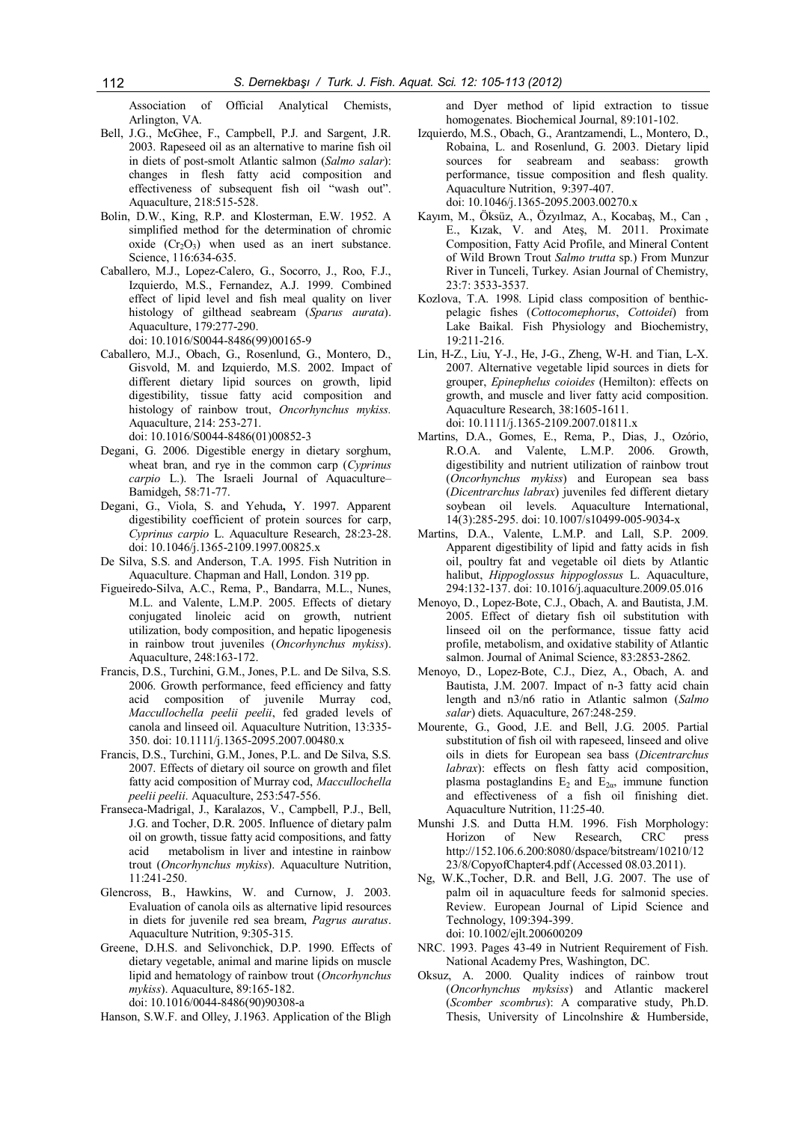Association of Official Analytical Chemists, Arlington, VA.

- Bell, J.G., McGhee, F., Campbell, P.J. and Sargent, J.R. 2003. Rapeseed oil as an alternative to marine fish oil in diets of post-smolt Atlantic salmon (*Salmo salar*): changes in flesh fatty acid composition and effectiveness of subsequent fish oil "wash out". Aquaculture, 218:515-528.
- Bolin, D.W., King, R.P. and Klosterman, E.W. 1952. A simplified method for the determination of chromic oxide  $(Cr_2O_3)$  when used as an inert substance. Science, 116:634-635.
- Caballero, M.J., Lopez-Calero, G., Socorro, J., Roo, F.J., Izquierdo, M.S., Fernandez, A.J. 1999. Combined effect of lipid level and fish meal quality on liver histology of gilthead seabream (*Sparus aurata*). Aquaculture, 179:277-290.

doi: 10.1016/S0044-8486(99)00165-9

Caballero, M.J., Obach, G., Rosenlund, G., Montero, D., Gisvold, M. and Izquierdo, M.S. 2002. Impact of different dietary lipid sources on growth, lipid digestibility, tissue fatty acid composition and histology of rainbow trout, *Oncorhynchus mykiss.* Aquaculture, 214: 253-271.

doi: 10.1016/S0044-8486(01)00852-3

- Degani, G. 2006. Digestible energy in dietary sorghum, wheat bran, and rye in the common carp (*Cyprinus carpio* L.). The Israeli Journal of Aquaculture– Bamidgeh, 58:71-77.
- Degani, G., Viola, S. and Yehuda**,** Y. 1997. Apparent digestibility coefficient of protein sources for carp, *Cyprinus carpio* L. Aquaculture Research, 28:23-28. doi: 10.1046/j.1365-2109.1997.00825.x
- De Silva, S.S. and Anderson, T.A. 1995. Fish Nutrition in Aquaculture. Chapman and Hall, London. 319 pp.
- Figueiredo-Silva, A.C., Rema, P., Bandarra, M.L., Nunes, M.L. and Valente, L.M.P. 2005. Effects of dietary conjugated linoleic acid on growth, nutrient utilization, body composition, and hepatic lipogenesis in rainbow trout juveniles (*Oncorhynchus mykiss*). Aquaculture, 248:163-172.
- Francis, D.S., Turchini, G.M., Jones, P.L. and De Silva, S.S. 2006. Growth performance, feed efficiency and fatty acid composition of juvenile Murray cod, *Maccullochella peelii peelii*, fed graded levels of canola and linseed oil. Aquaculture Nutrition, 13:335- 350. doi: 10.1111/j.1365-2095.2007.00480.x
- Francis, D.S., Turchini, G.M., Jones, P.L. and De Silva, S.S. 2007. Effects of dietary oil source on growth and filet fatty acid composition of Murray cod, *Maccullochella peelii peelii*. Aquaculture, 253:547-556.
- Franseca-Madrigal, J., Karalazos, V., Campbell, P.J., Bell, J.G. and Tocher, D.R. 2005. Influence of dietary palm oil on growth, tissue fatty acid compositions, and fatty acid metabolism in liver and intestine in rainbow trout (*Oncorhynchus mykiss*). Aquaculture Nutrition, 11:241-250.
- Glencross, B., Hawkins, W. and Curnow, J. 2003. Evaluation of canola oils as alternative lipid resources in diets for juvenile red sea bream, *Pagrus auratus*. Aquaculture Nutrition, 9:305-315.
- Greene, D.H.S. and Selivonchick, D.P. 1990. Effects of dietary vegetable, animal and marine lipids on muscle lipid and hematology of rainbow trout (*Oncorhynchus mykiss*). Aquaculture, 89:165-182. doi: 10.1016/0044-8486(90)90308-a

Hanson, S.W.F. and Olley, J.1963. Application of the Bligh

and Dyer method of lipid extraction to tissue homogenates. Biochemical Journal, 89:101-102.

- Izquierdo, M.S., Obach, G., Arantzamendi, L., Montero, D., Robaina, L. and Rosenlund, G. 2003. Dietary lipid sources for seabream and seabass: growth performance, tissue composition and flesh quality. Aquaculture Nutrition, 9:397-407. doi: 10.1046/j.1365-2095.2003.00270.x
- Kayım, M., Öksüz, A., Özyılmaz, A., Kocabaş, M., Can , E., Kızak, V. and Ateş, M. 2011. Proximate Composition, Fatty Acid Profile, and Mineral Content of Wild Brown Trout *Salmo trutta* sp.) From Munzur River in Tunceli, Turkey. Asian Journal of Chemistry, 23:7: 3533-3537.
- Kozlova, T.A. 1998. Lipid class composition of benthicpelagic fishes (*Cottocomephorus*, *Cottoidei*) from Lake Baikal. Fish Physiology and Biochemistry, 19:211-216.
- Lin, H-Z., Liu, Y-J., He, J-G., Zheng, W-H. and Tian, L-X. 2007. Alternative vegetable lipid sources in diets for grouper, *Epinephelus coioides* (Hemilton): effects on growth, and muscle and liver fatty acid composition. Aquaculture Research, 38:1605-1611. doi: 10.1111/j.1365-2109.2007.01811.x
- Martins, D.A., Gomes, E., Rema, P., Dias, J., Ozόrio, R.O.A. and Valente, L.M.P. 2006. Growth, digestibility and nutrient utilization of rainbow trout (*Oncorhynchus mykiss*) and European sea bass (*Dicentrarchus labrax*) juveniles fed different dietary soybean oil levels. Aquaculture International, 14(3):285-295. doi: 10.1007/s10499-005-9034-x
- Martins, D.A., Valente, L.M.P. and Lall, S.P. 2009. Apparent digestibility of lipid and fatty acids in fish oil, poultry fat and vegetable oil diets by Atlantic halibut, *Hippoglossus hippoglossus* L. Aquaculture, 294:132-137. doi: 10.1016/j.aquaculture.2009.05.016
- Menoyo, D., Lopez-Bote, C.J., Obach, A. and Bautista, J.M. 2005. Effect of dietary fish oil substitution with linseed oil on the performance, tissue fatty acid profile, metabolism, and oxidative stability of Atlantic salmon. Journal of Animal Science, 83:2853-2862.
- Menoyo, D., Lopez-Bote, C.J., Diez, A., Obach, A. and Bautista, J.M. 2007. Impact of n-3 fatty acid chain length and n3/n6 ratio in Atlantic salmon (*Salmo salar*) diets. Aquaculture, 267:248-259.
- Mourente, G., Good, J.E. and Bell, J.G. 2005. Partial substitution of fish oil with rapeseed, linseed and olive oils in diets for European sea bass (*Dicentrarchus labrax*): effects on flesh fatty acid composition, plasma postaglandins  $E_2$  and  $E_{2\alpha}$ , immune function and effectiveness of a fish oil finishing diet. Aquaculture Nutrition, 11:25-40.
- Munshi J.S. and Dutta H.M. 1996. Fish Morphology:<br>Horizon of New Research, CRC press Horizon of New Research, CRC press http://152.106.6.200:8080/dspace/bitstream/10210/12 23/8/CopyofChapter4.pdf (Accessed 08.03.2011).
- Ng, W.K.,Tocher, D.R. and Bell, J.G. 2007. The use of palm oil in aquaculture feeds for salmonid species. Review. European Journal of Lipid Science and Technology, 109:394-399. doi: 10.1002/ejlt.200600209
- NRC. 1993. Pages 43-49 in Nutrient Requirement of Fish. National Academy Pres, Washington, DC.
- Oksuz, A. 2000. Quality indices of rainbow trout (*Oncorhynchus myksiss*) and Atlantic mackerel (*Scomber scombrus*): A comparative study, Ph.D. Thesis, University of Lincolnshire & Humberside,